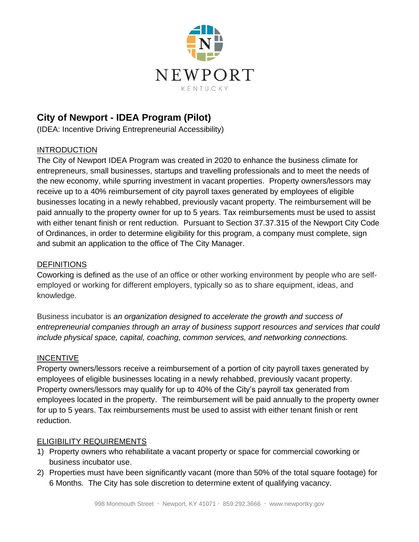

# **City of Newport - IDEA Program (Pilot)**

(IDEA: Incentive Driving Entrepreneurial Accessibility)

# INTRODUCTION

The City of Newport IDEA Program was created in 2020 to enhance the business climate for entrepreneurs, small businesses, startups and travelling professionals and to meet the needs of the new economy, while spurring investment in vacant properties. Property owners/lessors may receive up to a 40% reimbursement of city payroll taxes generated by employees of eligible businesses locating in a newly rehabbed, previously vacant property. The reimbursement will be paid annually to the property owner for up to 5 years. Tax reimbursements must be used to assist with either tenant finish or rent reduction. Pursuant to Section 37.37.315 of the Newport City Code of Ordinances, in order to determine eligibility for this program, a company must complete, sign and submit an application to the office of The City Manager.

# **DEFINITIONS**

Coworking is defined as the use of an office or other working environment by people who are selfemployed or working for different employers, typically so as to share equipment, ideas, and knowledge.

Business incubator is *an organization designed to accelerate the growth and success of entrepreneurial companies through an array of business support resources and services that could include physical space, capital, coaching, common services, and networking connections.*

# INCENTIVE

Property owners/lessors receive a reimbursement of a portion of city payroll taxes generated by employees of eligible businesses locating in a newly rehabbed, previously vacant property. Property owners/lessors may qualify for up to 40% of the City's payroll tax generated from employees located in the property. The reimbursement will be paid annually to the property owner for up to 5 years. Tax reimbursements must be used to assist with either tenant finish or rent reduction.

# ELIGIBILITY REQUIREMENTS

- 1) Property owners who rehabilitate a vacant property or space for commercial coworking or business incubator use.
- 2) Properties must have been significantly vacant (more than 50% of the total square footage) for 6 Months. The City has sole discretion to determine extent of qualifying vacancy.